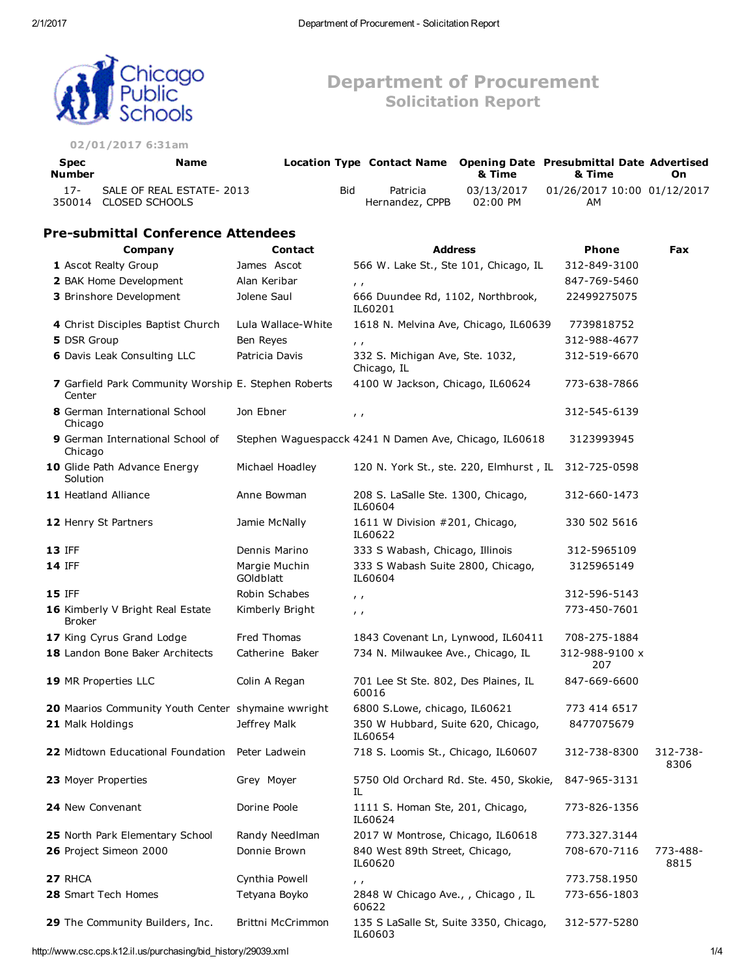Department of Procurement Solicitation Report



#### 02/01/2017 6:31am

| <b>Spec</b><br><b>Number</b> | Name                                               |     |                             | & Time                 | Location Type Contact Name Opening Date Presubmittal Date Advertised<br>& Time | On. |
|------------------------------|----------------------------------------------------|-----|-----------------------------|------------------------|--------------------------------------------------------------------------------|-----|
| $17-$                        | SALE OF REAL ESTATE- 2013<br>350014 CLOSED SCHOOLS | Bid | Patricia<br>Hernandez, CPPB | 03/13/2017<br>02:00 PM | 01/26/2017 10:00 01/12/2017<br>AM                                              |     |

# **Pre-submittal Conference Attendees**

| Company                                                        | <b>Contact</b>             | <b>Address</b>                                         | Phone                 | Fax              |
|----------------------------------------------------------------|----------------------------|--------------------------------------------------------|-----------------------|------------------|
| 1 Ascot Realty Group                                           | James Ascot                | 566 W. Lake St., Ste 101, Chicago, IL                  | 312-849-3100          |                  |
| 2 BAK Home Development                                         | Alan Keribar               | $\mathbf{r}$                                           | 847-769-5460          |                  |
| 3 Brinshore Development                                        | Jolene Saul                | 666 Duundee Rd, 1102, Northbrook,<br>IL60201           | 22499275075           |                  |
| 4 Christ Disciples Baptist Church                              | Lula Wallace-White         | 1618 N. Melvina Ave, Chicago, IL60639                  | 7739818752            |                  |
| 5 DSR Group                                                    | Ben Reyes                  | $\mathbf{r}$                                           | 312-988-4677          |                  |
| <b>6</b> Davis Leak Consulting LLC                             | Patricia Davis             | 332 S. Michigan Ave, Ste. 1032,<br>Chicago, IL         | 312-519-6670          |                  |
| 7 Garfield Park Community Worship E. Stephen Roberts<br>Center |                            | 4100 W Jackson, Chicago, IL60624                       | 773-638-7866          |                  |
| 8 German International School<br>Chicago                       | Jon Ebner                  | $\prime$                                               | 312-545-6139          |                  |
| <b>9</b> German International School of<br>Chicago             |                            | Stephen Waguespacck 4241 N Damen Ave, Chicago, IL60618 | 3123993945            |                  |
| 10 Glide Path Advance Energy<br>Solution                       | Michael Hoadley            | 120 N. York St., ste. 220, Elmhurst, IL                | 312-725-0598          |                  |
| 11 Heatland Alliance                                           | Anne Bowman                | 208 S. LaSalle Ste. 1300, Chicago,<br>IL60604          | 312-660-1473          |                  |
| 12 Henry St Partners                                           | Jamie McNally              | 1611 W Division #201, Chicago,<br>IL60622              | 330 502 5616          |                  |
| 13 IFF                                                         | Dennis Marino              | 333 S Wabash, Chicago, Illinois                        | 312-5965109           |                  |
| <b>14 IFF</b>                                                  | Margie Muchin<br>GOldblatt | 333 S Wabash Suite 2800, Chicago,<br>IL60604           | 3125965149            |                  |
| <b>15 IFF</b>                                                  | Robin Schabes              | $\mathbf{r}$                                           | 312-596-5143          |                  |
| 16 Kimberly V Bright Real Estate<br><b>Broker</b>              | Kimberly Bright            | $\prime$                                               | 773-450-7601          |                  |
| 17 King Cyrus Grand Lodge                                      | Fred Thomas                | 1843 Covenant Ln, Lynwood, IL60411                     | 708-275-1884          |                  |
| 18 Landon Bone Baker Architects                                | Catherine Baker            | 734 N. Milwaukee Ave., Chicago, IL                     | 312-988-9100 x<br>207 |                  |
| 19 MR Properties LLC                                           | Colin A Regan              | 701 Lee St Ste. 802, Des Plaines, IL<br>60016          | 847-669-6600          |                  |
| 20 Maarios Community Youth Center shymaine wwright             |                            | 6800 S.Lowe, chicago, IL60621                          | 773 414 6517          |                  |
| 21 Malk Holdings                                               | Jeffrey Malk               | 350 W Hubbard, Suite 620, Chicago,<br>IL60654          | 8477075679            |                  |
| 22 Midtown Educational Foundation                              | Peter Ladwein              | 718 S. Loomis St., Chicago, IL60607                    | 312-738-8300          | 312-738-<br>8306 |
| 23 Moyer Properties                                            | Grey Moyer                 | 5750 Old Orchard Rd. Ste. 450, Skokie,<br>IL           | 847-965-3131          |                  |
| 24 New Convenant                                               | Dorine Poole               | 1111 S. Homan Ste, 201, Chicago,<br>IL60624            | 773-826-1356          |                  |
| 25 North Park Elementary School                                | Randy NeedIman             | 2017 W Montrose, Chicago, IL60618                      | 773.327.3144          |                  |
| 26 Project Simeon 2000                                         | Donnie Brown               | 840 West 89th Street, Chicago,<br>IL60620              | 708-670-7116          | 773-488-<br>8815 |
| 27 RHCA                                                        | Cynthia Powell             | $\mathbf{r}$                                           | 773.758.1950          |                  |
| 28 Smart Tech Homes                                            | Tetyana Boyko              | 2848 W Chicago Ave., , Chicago, IL<br>60622            | 773-656-1803          |                  |
| 29 The Community Builders, Inc.                                | Brittni McCrimmon          | 135 S LaSalle St, Suite 3350, Chicago,<br>IL60603      | 312-577-5280          |                  |

http://www.csc.cps.k12.il.us/purchasing/bid\_history/29039.xml 1/4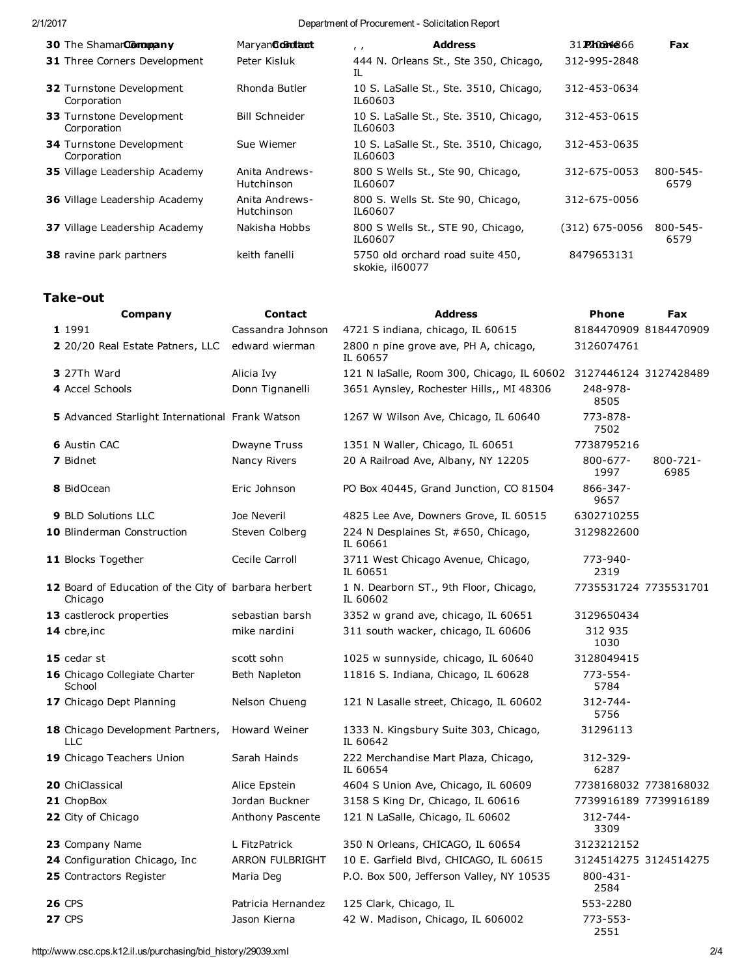## 2/1/2017 2012 Department of Procurement - Solicitation Report

| 30 The ShamarCorromany                         | Maryan <b>Golitizat</b>      | <b>Address</b><br>$\mathbf{r}$                      | 31. <b>Phon4866</b> | <b>Fax</b>            |
|------------------------------------------------|------------------------------|-----------------------------------------------------|---------------------|-----------------------|
| <b>31</b> Three Corners Development            | Peter Kisluk                 | 444 N. Orleans St., Ste 350, Chicago,<br>IL         | 312-995-2848        |                       |
| <b>32 Turnstone Development</b><br>Corporation | Rhonda Butler                | 10 S. LaSalle St., Ste. 3510, Chicago,<br>IL60603   | 312-453-0634        |                       |
| <b>33 Turnstone Development</b><br>Corporation | <b>Bill Schneider</b>        | 10 S. LaSalle St., Ste. 3510, Chicago,<br>IL60603   | 312-453-0615        |                       |
| <b>34 Turnstone Development</b><br>Corporation | Sue Wiemer                   | 10 S. LaSalle St., Ste. 3510, Chicago,<br>IL60603   | 312-453-0635        |                       |
| <b>35</b> Village Leadership Academy           | Anita Andrews-<br>Hutchinson | 800 S Wells St., Ste 90, Chicago,<br>IL60607        | 312-675-0053        | $800 - 545 -$<br>6579 |
| <b>36</b> Village Leadership Academy           | Anita Andrews-<br>Hutchinson | 800 S. Wells St. Ste 90, Chicago,<br>IL60607        | 312-675-0056        |                       |
| 37 Village Leadership Academy                  | Nakisha Hobbs                | 800 S Wells St., STE 90, Chicago,<br>IL60607        | (312) 675-0056      | 800-545-<br>6579      |
| <b>38</b> ravine park partners                 | keith fanelli                | 5750 old orchard road suite 450,<br>skokie, il60077 | 8479653131          |                       |

# **Take-out**

| Company                                                         | <b>Contact</b>         | <b>Address</b>                                                   | <b>Phone</b>          | Fax                   |
|-----------------------------------------------------------------|------------------------|------------------------------------------------------------------|-----------------------|-----------------------|
| 1 1991                                                          | Cassandra Johnson      | 4721 S indiana, chicago, IL 60615                                |                       | 8184470909 8184470909 |
| 2 20/20 Real Estate Patners, LLC                                | edward wierman         | 2800 n pine grove ave, PH A, chicago,<br>IL 60657                | 3126074761            |                       |
| 3 27Th Ward                                                     | Alicia Ivy             | 121 N laSalle, Room 300, Chicago, IL 60602 3127446124 3127428489 |                       |                       |
| 4 Accel Schools                                                 | Donn Tignanelli        | 3651 Aynsley, Rochester Hills,, MI 48306                         | 248-978-<br>8505      |                       |
| 5 Advanced Starlight International Frank Watson                 |                        | 1267 W Wilson Ave, Chicago, IL 60640                             | 773-878-<br>7502      |                       |
| <b>6</b> Austin CAC                                             | <b>Dwayne Truss</b>    | 1351 N Waller, Chicago, IL 60651                                 | 7738795216            |                       |
| 7 Bidnet                                                        | Nancy Rivers           | 20 A Railroad Ave, Albany, NY 12205                              | $800 - 677 -$<br>1997 | $800 - 721 -$<br>6985 |
| 8 BidOcean                                                      | Eric Johnson           | PO Box 40445, Grand Junction, CO 81504                           | 866-347-<br>9657      |                       |
| 9 BLD Solutions LLC                                             | Joe Neveril            | 4825 Lee Ave, Downers Grove, IL 60515                            | 6302710255            |                       |
| 10 Blinderman Construction                                      | Steven Colberg         | 224 N Desplaines St, #650, Chicago,<br>IL 60661                  | 3129822600            |                       |
| 11 Blocks Together                                              | Cecile Carroll         | 3711 West Chicago Avenue, Chicago,<br>IL 60651                   | 773-940-<br>2319      |                       |
| 12 Board of Education of the City of barbara herbert<br>Chicago |                        | 1 N. Dearborn ST., 9th Floor, Chicago,<br>IL 60602               |                       | 7735531724 7735531701 |
| 13 castlerock properties                                        | sebastian barsh        | 3352 w grand ave, chicago, IL 60651                              | 3129650434            |                       |
| 14 cbre, inc                                                    | mike nardini           | 311 south wacker, chicago, IL 60606                              | 312 935<br>1030       |                       |
| 15 cedar st                                                     | scott sohn             | 1025 w sunnyside, chicago, IL 60640                              | 3128049415            |                       |
| 16 Chicago Collegiate Charter<br>School                         | Beth Napleton          | 11816 S. Indiana, Chicago, IL 60628                              | $773 - 554 -$<br>5784 |                       |
| 17 Chicago Dept Planning                                        | Nelson Chueng          | 121 N Lasalle street, Chicago, IL 60602                          | $312 - 744 -$<br>5756 |                       |
| 18 Chicago Development Partners,<br><b>LLC</b>                  | Howard Weiner          | 1333 N. Kingsbury Suite 303, Chicago,<br>IL 60642                | 31296113              |                       |
| 19 Chicago Teachers Union                                       | Sarah Hainds           | 222 Merchandise Mart Plaza, Chicago,<br>IL 60654                 | 312-329-<br>6287      |                       |
| <b>20</b> ChiClassical                                          | Alice Epstein          | 4604 S Union Ave, Chicago, IL 60609                              |                       | 7738168032 7738168032 |
| 21 ChopBox                                                      | Jordan Buckner         | 3158 S King Dr, Chicago, IL 60616                                |                       | 7739916189 7739916189 |
| 22 City of Chicago                                              | Anthony Pascente       | 121 N LaSalle, Chicago, IL 60602                                 | 312-744-<br>3309      |                       |
| 23 Company Name                                                 | L FitzPatrick          | 350 N Orleans, CHICAGO, IL 60654                                 | 3123212152            |                       |
| 24 Configuration Chicago, Inc.                                  | <b>ARRON FULBRIGHT</b> | 10 E. Garfield Blvd, CHICAGO, IL 60615                           |                       | 3124514275 3124514275 |
| 25 Contractors Register                                         | Maria Deg              | P.O. Box 500, Jefferson Valley, NY 10535                         | $800 - 431 -$<br>2584 |                       |
| <b>26 CPS</b>                                                   | Patricia Hernandez     | 125 Clark, Chicago, IL                                           | 553-2280              |                       |
| <b>27 CPS</b>                                                   | Jason Kierna           | 42 W. Madison, Chicago, IL 606002                                | 773-553-<br>2551      |                       |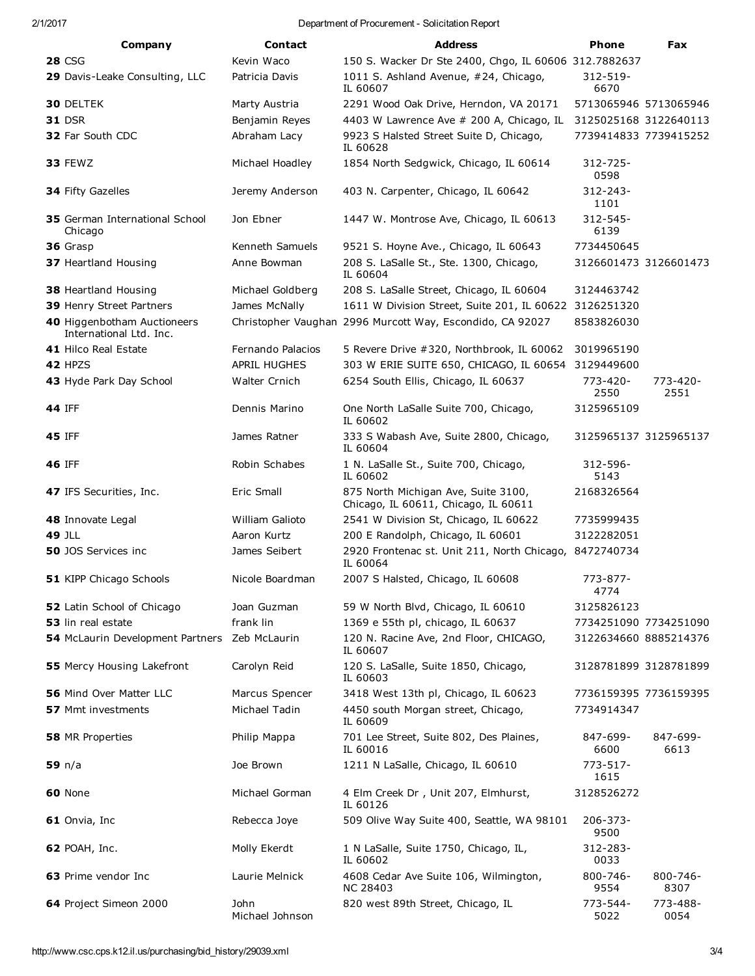#### 2/1/2017 Department of Procurement Solicitation Report

| Company                                                | <b>Contact</b>          | <b>Address</b>                                                              | Phone                 | Fax                   |
|--------------------------------------------------------|-------------------------|-----------------------------------------------------------------------------|-----------------------|-----------------------|
| <b>28 CSG</b>                                          | Kevin Waco              | 150 S. Wacker Dr Ste 2400, Chgo, IL 60606 312.7882637                       |                       |                       |
| 29 Davis-Leake Consulting, LLC                         | Patricia Davis          | 1011 S. Ashland Avenue, #24, Chicago,<br>IL 60607                           | 312-519-<br>6670      |                       |
| <b>30 DELTEK</b>                                       | Marty Austria           | 2291 Wood Oak Drive, Herndon, VA 20171                                      |                       | 5713065946 5713065946 |
| <b>31 DSR</b>                                          | Benjamin Reyes          | 4403 W Lawrence Ave # 200 A, Chicago, IL                                    | 3125025168 3122640113 |                       |
| 32 Far South CDC                                       | Abraham Lacy            | 9923 S Halsted Street Suite D, Chicago,<br>IL 60628                         |                       | 7739414833 7739415252 |
| <b>33 FEWZ</b>                                         | Michael Hoadley         | 1854 North Sedgwick, Chicago, IL 60614                                      | $312 - 725 -$<br>0598 |                       |
| 34 Fifty Gazelles                                      | Jeremy Anderson         | 403 N. Carpenter, Chicago, IL 60642                                         | 312-243-<br>1101      |                       |
| <b>35</b> German International School<br>Chicago       | Jon Ebner               | 1447 W. Montrose Ave, Chicago, IL 60613                                     | 312-545-<br>6139      |                       |
| 36 Grasp                                               | Kenneth Samuels         | 9521 S. Hoyne Ave., Chicago, IL 60643                                       | 7734450645            |                       |
| 37 Heartland Housing                                   | Anne Bowman             | 208 S. LaSalle St., Ste. 1300, Chicago,<br>IL 60604                         |                       | 3126601473 3126601473 |
| 38 Heartland Housing                                   | Michael Goldberg        | 208 S. LaSalle Street, Chicago, IL 60604                                    | 3124463742            |                       |
| 39 Henry Street Partners                               | James McNally           | 1611 W Division Street, Suite 201, IL 60622 3126251320                      |                       |                       |
| 40 Higgenbotham Auctioneers<br>International Ltd. Inc. |                         | Christopher Vaughan 2996 Murcott Way, Escondido, CA 92027                   | 8583826030            |                       |
| 41 Hilco Real Estate                                   | Fernando Palacios       | 5 Revere Drive #320, Northbrook, IL 60062                                   | 3019965190            |                       |
| 42 HPZS                                                | <b>APRIL HUGHES</b>     | 303 W ERIE SUITE 650, CHICAGO, IL 60654 3129449600                          |                       |                       |
| 43 Hyde Park Day School                                | Walter Crnich           | 6254 South Ellis, Chicago, IL 60637                                         | 773-420-<br>2550      | 773-420-<br>2551      |
| <b>44 IFF</b>                                          | Dennis Marino           | One North LaSalle Suite 700, Chicago,<br>IL 60602                           | 3125965109            |                       |
| <b>45 IFF</b>                                          | James Ratner            | 333 S Wabash Ave, Suite 2800, Chicago,<br>IL 60604                          |                       | 3125965137 3125965137 |
| <b>46 IFF</b>                                          | Robin Schabes           | 1 N. LaSalle St., Suite 700, Chicago,<br>IL 60602                           | 312-596-<br>5143      |                       |
| 47 IFS Securities, Inc.                                | Eric Small              | 875 North Michigan Ave, Suite 3100,<br>Chicago, IL 60611, Chicago, IL 60611 | 2168326564            |                       |
| 48 Innovate Legal                                      | William Galioto         | 2541 W Division St, Chicago, IL 60622                                       | 7735999435            |                       |
| <b>49 JLL</b>                                          | Aaron Kurtz             | 200 E Randolph, Chicago, IL 60601                                           | 3122282051            |                       |
| <b>50</b> JOS Services inc                             | James Seibert           | 2920 Frontenac st. Unit 211, North Chicago, 8472740734<br>IL 60064          |                       |                       |
| 51 KIPP Chicago Schools                                | Nicole Boardman         | 2007 S Halsted, Chicago, IL 60608                                           | $773 - 877 -$<br>4774 |                       |
| 52 Latin School of Chicago                             | Joan Guzman             | 59 W North Blvd, Chicago, IL 60610                                          | 3125826123            |                       |
| 53 lin real estate                                     | frank lin               | 1369 e 55th pl, chicago, IL 60637                                           |                       | 7734251090 7734251090 |
| 54 McLaurin Development Partners                       | Zeb McLaurin            | 120 N. Racine Ave, 2nd Floor, CHICAGO,<br>IL 60607                          |                       | 3122634660 8885214376 |
| 55 Mercy Housing Lakefront                             | Carolyn Reid            | 120 S. LaSalle, Suite 1850, Chicago,<br>IL 60603                            |                       | 3128781899 3128781899 |
| 56 Mind Over Matter LLC                                | Marcus Spencer          | 3418 West 13th pl, Chicago, IL 60623                                        |                       | 7736159395 7736159395 |
| <b>57</b> Mmt investments                              | Michael Tadin           | 4450 south Morgan street, Chicago,<br>IL 60609                              | 7734914347            |                       |
| 58 MR Properties                                       | Philip Mappa            | 701 Lee Street, Suite 802, Des Plaines,<br>IL 60016                         | 847-699-<br>6600      | 847-699-<br>6613      |
| 59 n/a                                                 | Joe Brown               | 1211 N LaSalle, Chicago, IL 60610                                           | 773-517-<br>1615      |                       |
| 60 None                                                | Michael Gorman          | 4 Elm Creek Dr, Unit 207, Elmhurst,<br>IL 60126                             | 3128526272            |                       |
| 61 Onvia, Inc                                          | Rebecca Joye            | 509 Olive Way Suite 400, Seattle, WA 98101                                  | 206-373-<br>9500      |                       |
| <b>62 POAH, Inc.</b>                                   | Molly Ekerdt            | 1 N LaSalle, Suite 1750, Chicago, IL,<br>IL 60602                           | 312-283-<br>0033      |                       |
| 63 Prime vendor Inc                                    | Laurie Melnick          | 4608 Cedar Ave Suite 106, Wilmington,<br><b>NC 28403</b>                    | 800-746-<br>9554      | 800-746-<br>8307      |
| 64 Project Simeon 2000                                 | John<br>Michael Johnson | 820 west 89th Street, Chicago, IL                                           | 773-544-<br>5022      | 773-488-<br>0054      |